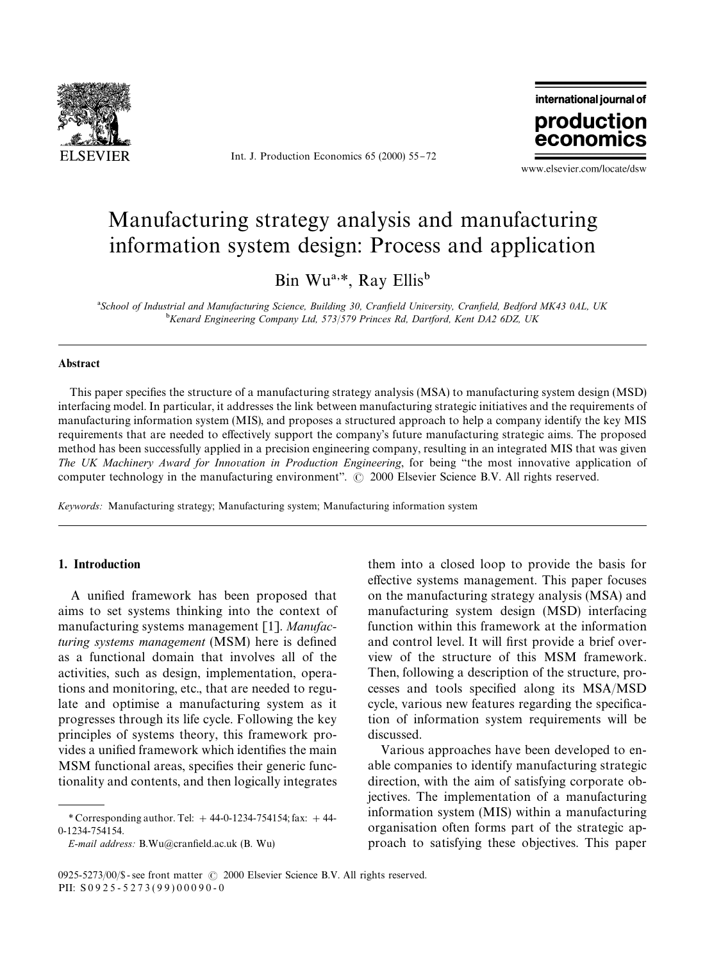

Int. J. Production Economics  $65$  (2000)  $55-72$ 

international journal of production economi

www.elsevier.com/locate/dsw

## Manufacturing strategy analysis and manufacturing information system design: Process and application

Bin Wu<sup>a,\*</sup>, Ray Ellis<sup>b</sup>

<sup>a</sup>School of Industrial and Manufacturing Science, Building 30, Cranfield University, Cranfield, Bedford MK43 0AL, UK "*Kenard Engineering Company Ltd, 573*/*579 Princes Rd, Dartford, Kent DA2 6DZ, UK*

### **Abstract**

This paper specifies the structure of a manufacturing strategy analysis (MSA) to manufacturing system design (MSD) interfacing model. In particular, it addresses the link between manufacturing strategic initiatives and the requirements of manufacturing information system (MIS), and proposes a structured approach to help a company identify the key MIS requirements that are needed to effectively support the company's future manufacturing strategic aims. The proposed method has been successfully applied in a precision engineering company, resulting in an integrated MIS that was given *The UK Machinery Award for Innovation in Production Engineering*, for being `the most innovative application of computer technology in the manufacturing environment".  $\odot$  2000 Elsevier Science B.V. All rights reserved.

*Keywords:* Manufacturing strategy; Manufacturing system; Manufacturing information system

## 1. Introduction

A unified framework has been proposed that aims to set systems thinking into the context of manufacturing systems management [1]. *Manufacturing systems management* (MSM) here is defined as a functional domain that involves all of the activities, such as design, implementation, operations and monitoring, etc., that are needed to regulate and optimise a manufacturing system as it progresses through its life cycle. Following the key principles of systems theory, this framework provides a unified framework which identifies the main MSM functional areas, specifies their generic functionality and contents, and then logically integrates

*E-mail address:* B.Wu@cranfield.ac.uk (B. Wu)

them into a closed loop to provide the basis for effective systems management. This paper focuses on the manufacturing strategy analysis (MSA) and manufacturing system design (MSD) interfacing function within this framework at the information and control level. It will first provide a brief overview of the structure of this MSM framework. Then, following a description of the structure, processes and tools specified along its MSA/MSD cycle, various new features regarding the specification of information system requirements will be discussed.

Various approaches have been developed to enable companies to identify manufacturing strategic direction, with the aim of satisfying corporate objectives. The implementation of a manufacturing information system (MIS) within a manufacturing organisation often forms part of the strategic approach to satisfying these objectives. This paper

*<sup>\*</sup>* Corresponding author. Tel:  $+44-0-1234-754154$ ; fax:  $+44-$ 0-1234-754154.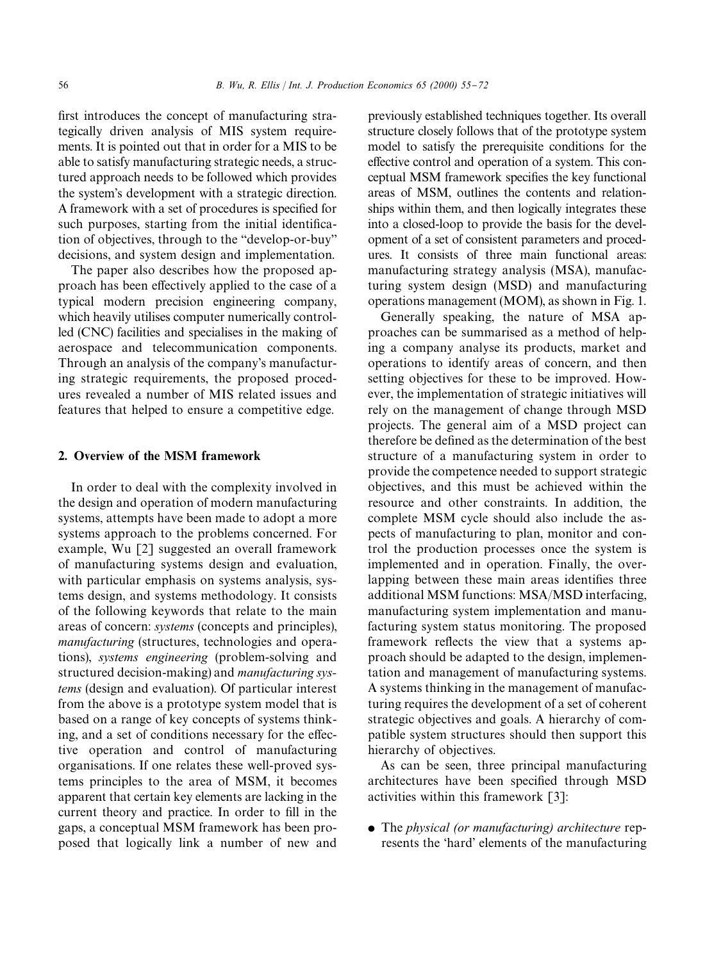first introduces the concept of manufacturing strategically driven analysis of MIS system requirements. It is pointed out that in order for a MIS to be able to satisfy manufacturing strategic needs, a structured approach needs to be followed which provides the system's development with a strategic direction. A framework with a set of procedures is specified for such purposes, starting from the initial identification of objectives, through to the "develop-or-buy" decisions, and system design and implementation.

The paper also describes how the proposed approach has been effectively applied to the case of a typical modern precision engineering company, which heavily utilises computer numerically controlled (CNC) facilities and specialises in the making of aerospace and telecommunication components. Through an analysis of the company's manufacturing strategic requirements, the proposed procedures revealed a number of MIS related issues and features that helped to ensure a competitive edge.

### 2. Overview of the MSM framework

In order to deal with the complexity involved in the design and operation of modern manufacturing systems, attempts have been made to adopt a more systems approach to the problems concerned. For example, Wu [2] suggested an overall framework of manufacturing systems design and evaluation, with particular emphasis on systems analysis, systems design, and systems methodology. It consists of the following keywords that relate to the main areas of concern: *systems* (concepts and principles), *manufacturing* (structures, technologies and operations), *systems engineering* (problem-solving and structured decision-making) and *manufacturing systems* (design and evaluation). Of particular interest from the above is a prototype system model that is based on a range of key concepts of systems thinking, and a set of conditions necessary for the effective operation and control of manufacturing organisations. If one relates these well-proved systems principles to the area of MSM, it becomes apparent that certain key elements are lacking in the current theory and practice. In order to fill in the gaps, a conceptual MSM framework has been proposed that logically link a number of new and previously established techniques together. Its overall structure closely follows that of the prototype system model to satisfy the prerequisite conditions for the effective control and operation of a system. This conceptual MSM framework specifies the key functional areas of MSM, outlines the contents and relationships within them, and then logically integrates these into a closed-loop to provide the basis for the development of a set of consistent parameters and procedures. It consists of three main functional areas: manufacturing strategy analysis (MSA), manufacturing system design (MSD) and manufacturing operations management (MOM), as shown in Fig. 1.

Generally speaking, the nature of MSA approaches can be summarised as a method of helping a company analyse its products, market and operations to identify areas of concern, and then setting objectives for these to be improved. However, the implementation of strategic initiatives will rely on the management of change through MSD projects. The general aim of a MSD project can therefore be defined as the determination of the best structure of a manufacturing system in order to provide the competence needed to support strategic objectives, and this must be achieved within the resource and other constraints. In addition, the complete MSM cycle should also include the aspects of manufacturing to plan, monitor and control the production processes once the system is implemented and in operation. Finally, the overlapping between these main areas identifies three additional MSM functions: MSA/MSD interfacing, manufacturing system implementation and manufacturing system status monitoring. The proposed framework reflects the view that a systems approach should be adapted to the design, implementation and management of manufacturing systems. A systems thinking in the management of manufacturing requires the development of a set of coherent strategic objectives and goals. A hierarchy of compatible system structures should then support this hierarchy of objectives.

As can be seen, three principal manufacturing architectures have been specified through MSD activities within this framework [3]:

• The *physical (or manufacturing) architecture* represents the 'hard' elements of the manufacturing